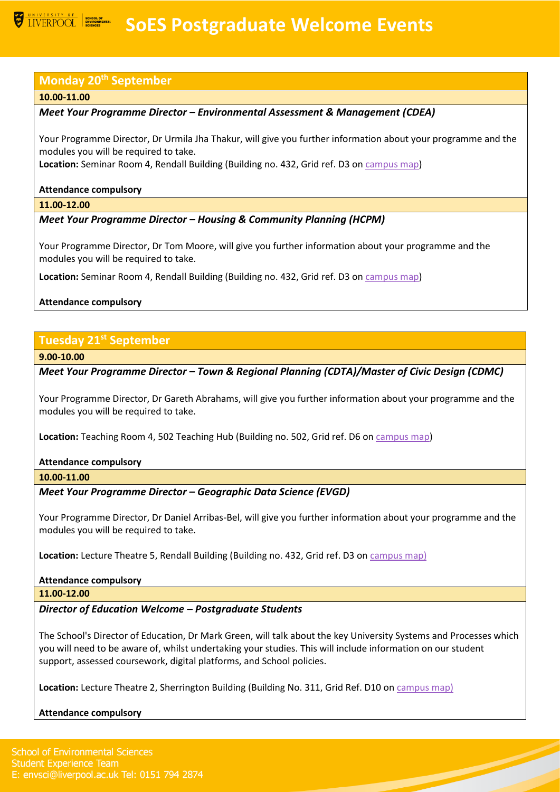# **SOES Postgraduate Welcome Events**

## **Monday 20th September**

#### **10.00-11.00**

## *Meet Your Programme Director – Environmental Assessment & Management (CDEA)*

Your Programme Director, Dr Urmila Jha Thakur, will give you further information about your programme and the modules you will be required to take.

**Location:** Seminar Room 4, Rendall Building (Building no. 432, Grid ref. D3 o[n campus map\)](https://www.liverpool.ac.uk/media/livacuk/maps/Campus,Map,2020_0903.pdf)

### **Attendance compulsory**

**11.00-12.00**

# *Meet Your Programme Director – Housing & Community Planning (HCPM)*

Your Programme Director, Dr Tom Moore, will give you further information about your programme and the modules you will be required to take.

**Location:** Seminar Room 4, Rendall Building (Building no. 432, Grid ref. D3 o[n campus map\)](https://www.liverpool.ac.uk/media/livacuk/maps/Campus,Map,2020_0903.pdf)

## **Attendance compulsory**

# **Tuesday 21st September**

**9.00-10.00**

*Meet Your Programme Director – Town & Regional Planning (CDTA)/Master of Civic Design (CDMC)*

Your Programme Director, Dr Gareth Abrahams, will give you further information about your programme and the modules you will be required to take.

**Location:** Teaching Room 4, 502 Teaching Hub (Building no. 502, Grid ref. D6 o[n campus map\)](https://www.liverpool.ac.uk/media/livacuk/maps/Campus,Map,2020_0903.pdf)

## **Attendance compulsory**

**10.00-11.00**

## *Meet Your Programme Director – Geographic Data Science (EVGD)*

Your Programme Director, Dr Daniel Arribas-Bel, will give you further information about your programme and the modules you will be required to take.

**Location:** Lecture Theatre 5, Rendall Building (Building no. 432, Grid ref. D3 o[n campus map\)](https://www.liverpool.ac.uk/media/livacuk/maps/Campus,Map,2020_0903.pdf)

#### **Attendance compulsory**

**11.00-12.00**

*Director of Education Welcome – Postgraduate Students*

The School's Director of Education, Dr Mark Green, will talk about the key University Systems and Processes which you will need to be aware of, whilst undertaking your studies. This will include information on our student support, assessed coursework, digital platforms, and School policies.

**Location:** Lecture Theatre 2, Sherrington Building (Building No. 311, Grid Ref. D10 on [campus map\)](https://www.liverpool.ac.uk/media/livacuk/maps/Campus,Map,2020_0903.pdf)

## **Attendance compulsory**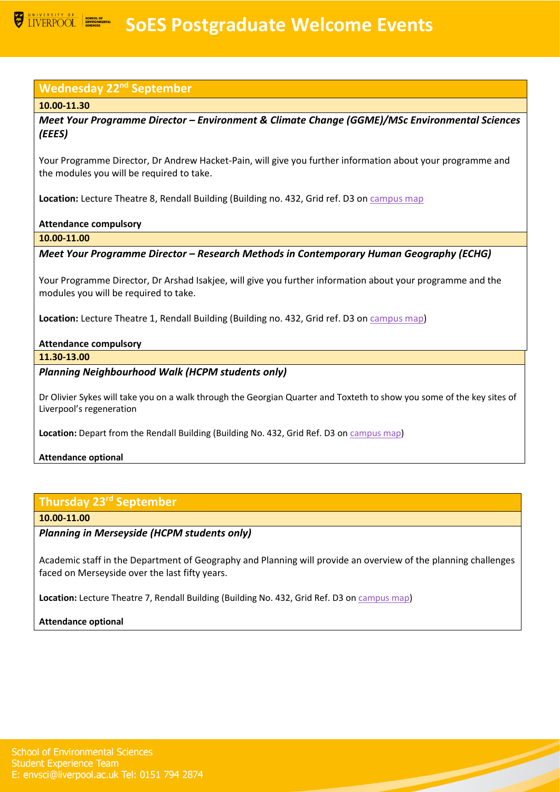# **Wednesday 22nd September**

## **10.00-11.30**

*Meet Your Programme Director – Environment & Climate Change (GGME)/MSc Environmental Sciences (EEES)*

Your Programme Director, Dr Andrew Hacket-Pain, will give you further information about your programme and the modules you will be required to take.

**Location:** Lecture Theatre 8, Rendall Building (Building no. 432, Grid ref. D3 o[n campus map](https://www.liverpool.ac.uk/media/livacuk/maps/Campus,Map,2020_0903.pdf)

## **Attendance compulsory**

**10.00-11.00**

*Meet Your Programme Director – Research Methods in Contemporary Human Geography (ECHG)*

Your Programme Director, Dr Arshad Isakjee, will give you further information about your programme and the modules you will be required to take.

**Location:** Lecture Theatre 1, Rendall Building (Building no. 432, Grid ref. D3 o[n campus map\)](https://www.liverpool.ac.uk/media/livacuk/maps/Campus,Map,2020_0903.pdf)

## **Attendance compulsory**

**11.30-13.00**

# *Planning Neighbourhood Walk (HCPM students only)*

Dr Olivier Sykes will take you on a walk through the Georgian Quarter and Toxteth to show you some of the key sites of Liverpool's regeneration

**Location:** Depart from the Rendall Building (Building No. 432, Grid Ref. D3 on [campus map\)](https://www.liverpool.ac.uk/media/livacuk/maps/Campus,Map,2020_0903.pdf)

## **Attendance optional**

# **Thursday 23rd September**

## **10.00-11.00**

*Planning in Merseyside (HCPM students only)*

Academic staff in the Department of Geography and Planning will provide an overview of the planning challenges faced on Merseyside over the last fifty years.

**Location:** Lecture Theatre 7, Rendall Building (Building No. 432, Grid Ref. D3 on [campus map\)](https://www.liverpool.ac.uk/media/livacuk/maps/Campus,Map,2020_0903.pdf)

## **Attendance optional**